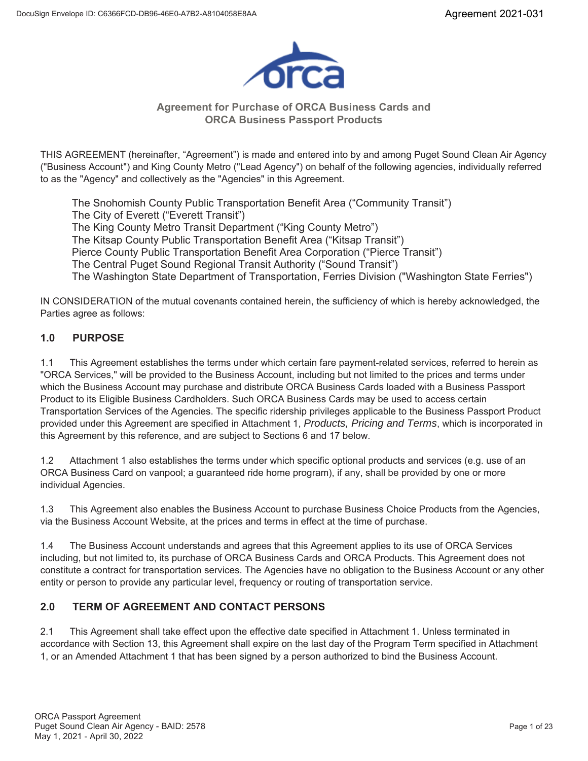

### **Agreement for Purchase of ORCA Business Cards and ORCA Business Passport Products**

THIS AGREEMENT (hereinafter, "Agreement") is made and entered into by and among Puget Sound Clean Air Agency ("Business Account") and King County Metro ("Lead Agency") on behalf of the following agencies, individually referred to as the "Agency" and collectively as the "Agencies" in this Agreement.

The Snohomish County Public Transportation Benefit Area ("Community Transit") The City of Everett ("Everett Transit") The King County Metro Transit Department ("King County Metro") The Kitsap County Public Transportation Benefit Area ("Kitsap Transit") Pierce County Public Transportation Benefit Area Corporation ("Pierce Transit") The Central Puget Sound Regional Transit Authority ("Sound Transit") The Washington State Department of Transportation, Ferries Division ("Washington State Ferries")

IN CONSIDERATION of the mutual covenants contained herein, the sufficiency of which is hereby acknowledged, the Parties agree as follows:

## **1.0 PURPOSE**

1.1 This Agreement establishes the terms under which certain fare payment-related services, referred to herein as "ORCA Services," will be provided to the Business Account, including but not limited to the prices and terms under which the Business Account may purchase and distribute ORCA Business Cards loaded with a Business Passport Product to its Eligible Business Cardholders. Such ORCA Business Cards may be used to access certain Transportation Services of the Agencies. The specific ridership privileges applicable to the Business Passport Product provided under this Agreement are specified in Attachment 1, *Products, Pricing and Terms*, which is incorporated in this Agreement by this reference, and are subject to Sections 6 and 17 below.

1.2 Attachment 1 also establishes the terms under which specific optional products and services (e.g. use of an ORCA Business Card on vanpool; a guaranteed ride home program), if any, shall be provided by one or more individual Agencies.

1.3 This Agreement also enables the Business Account to purchase Business Choice Products from the Agencies, via the Business Account Website, at the prices and terms in effect at the time of purchase.

1.4 The Business Account understands and agrees that this Agreement applies to its use of ORCA Services including, but not limited to, its purchase of ORCA Business Cards and ORCA Products. This Agreement does not constitute a contract for transportation services. The Agencies have no obligation to the Business Account or any other entity or person to provide any particular level, frequency or routing of transportation service.

## **2.0 TERM OF AGREEMENT AND CONTACT PERSONS**

2.1 This Agreement shall take effect upon the effective date specified in Attachment 1. Unless terminated in accordance with Section 13, this Agreement shall expire on the last day of the Program Term specified in Attachment 1, or an Amended Attachment 1 that has been signed by a person authorized to bind the Business Account.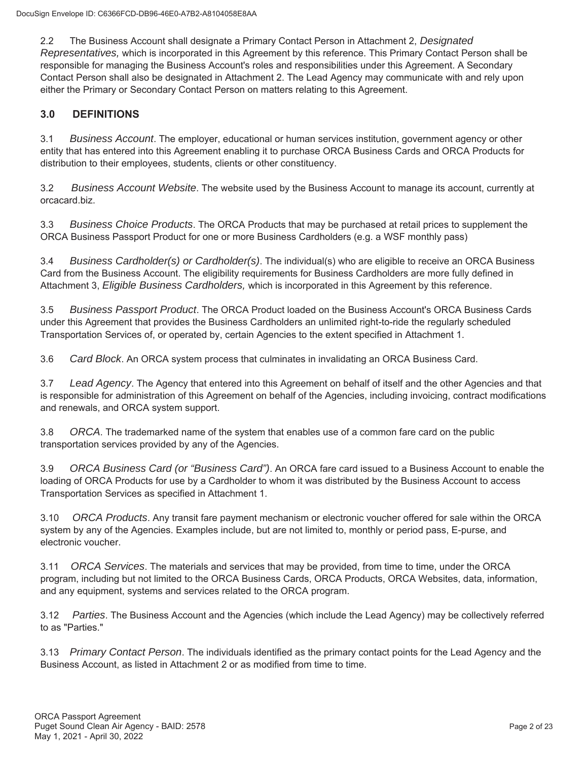2.2 The Business Account shall designate a Primary Contact Person in Attachment 2, *Designated Representatives,* which is incorporated in this Agreement by this reference. This Primary Contact Person shall be responsible for managing the Business Account's roles and responsibilities under this Agreement. A Secondary Contact Person shall also be designated in Attachment 2. The Lead Agency may communicate with and rely upon either the Primary or Secondary Contact Person on matters relating to this Agreement.

## **3.0 DEFINITIONS**

3.1 *Business Account*. The employer, educational or human services institution, government agency or other entity that has entered into this Agreement enabling it to purchase ORCA Business Cards and ORCA Products for distribution to their employees, students, clients or other constituency.

3.2 *Business Account Website*. The website used by the Business Account to manage its account, currently at orcacard.biz.

3.3 *Business Choice Products*. The ORCA Products that may be purchased at retail prices to supplement the ORCA Business Passport Product for one or more Business Cardholders (e.g. a WSF monthly pass)

3.4 *Business Cardholder(s) or Cardholder(s)*. The individual(s) who are eligible to receive an ORCA Business Card from the Business Account. The eligibility requirements for Business Cardholders are more fully defined in Attachment 3, *Eligible Business Cardholders,* which is incorporated in this Agreement by this reference.

3.5 *Business Passport Product*. The ORCA Product loaded on the Business Account's ORCA Business Cards under this Agreement that provides the Business Cardholders an unlimited right-to-ride the regularly scheduled Transportation Services of, or operated by, certain Agencies to the extent specified in Attachment 1.

3.6 *Card Block*. An ORCA system process that culminates in invalidating an ORCA Business Card.

3.7 *Lead Agency*. The Agency that entered into this Agreement on behalf of itself and the other Agencies and that is responsible for administration of this Agreement on behalf of the Agencies, including invoicing, contract modifications and renewals, and ORCA system support.

3.8 *ORCA*. The trademarked name of the system that enables use of a common fare card on the public transportation services provided by any of the Agencies.

3.9 *ORCA Business Card (or "Business Card")*. An ORCA fare card issued to a Business Account to enable the loading of ORCA Products for use by a Cardholder to whom it was distributed by the Business Account to access Transportation Services as specified in Attachment 1.

3.10 *ORCA Products*. Any transit fare payment mechanism or electronic voucher offered for sale within the ORCA system by any of the Agencies. Examples include, but are not limited to, monthly or period pass, E-purse, and electronic voucher.

3.11 *ORCA Services*. The materials and services that may be provided, from time to time, under the ORCA program, including but not limited to the ORCA Business Cards, ORCA Products, ORCA Websites, data, information, and any equipment, systems and services related to the ORCA program.

3.12 *Parties*. The Business Account and the Agencies (which include the Lead Agency) may be collectively referred to as "Parties."

3.13 *Primary Contact Person*. The individuals identified as the primary contact points for the Lead Agency and the Business Account, as listed in Attachment 2 or as modified from time to time.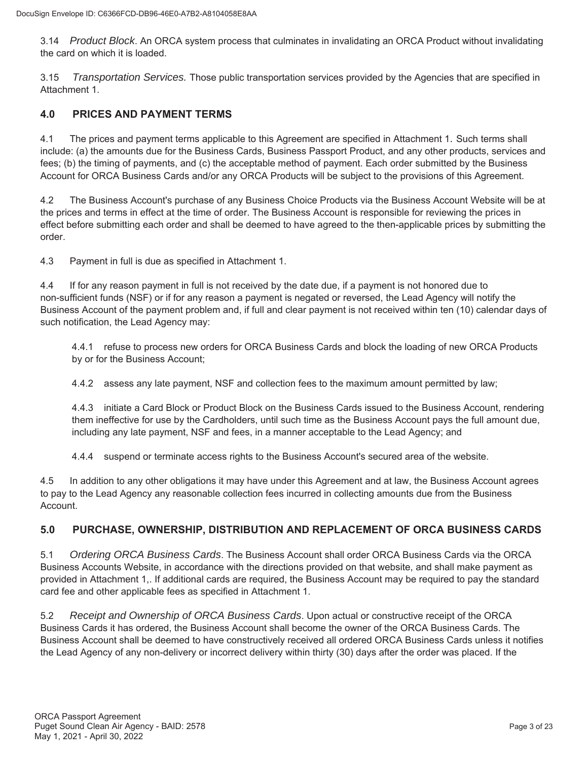3.14 *Product Block*. An ORCA system process that culminates in invalidating an ORCA Product without invalidating the card on which it is loaded.

3.15 *Transportation Services.* Those public transportation services provided by the Agencies that are specified in Attachment 1.

## **4.0 PRICES AND PAYMENT TERMS**

4.1 The prices and payment terms applicable to this Agreement are specified in Attachment 1*.* Such terms shall include: (a) the amounts due for the Business Cards, Business Passport Product, and any other products, services and fees; (b) the timing of payments, and (c) the acceptable method of payment. Each order submitted by the Business Account for ORCA Business Cards and/or any ORCA Products will be subject to the provisions of this Agreement.

4.2 The Business Account's purchase of any Business Choice Products via the Business Account Website will be at the prices and terms in effect at the time of order. The Business Account is responsible for reviewing the prices in effect before submitting each order and shall be deemed to have agreed to the then-applicable prices by submitting the order.

4.3 Payment in full is due as specified in Attachment 1.

4.4 If for any reason payment in full is not received by the date due, if a payment is not honored due to non-sufficient funds (NSF) or if for any reason a payment is negated or reversed, the Lead Agency will notify the Business Account of the payment problem and, if full and clear payment is not received within ten (10) calendar days of such notification, the Lead Agency may:

4.4.1 refuse to process new orders for ORCA Business Cards and block the loading of new ORCA Products by or for the Business Account;

4.4.2 assess any late payment, NSF and collection fees to the maximum amount permitted by law;

4.4.3 initiate a Card Block or Product Block on the Business Cards issued to the Business Account, rendering them ineffective for use by the Cardholders, until such time as the Business Account pays the full amount due, including any late payment, NSF and fees, in a manner acceptable to the Lead Agency; and

4.4.4 suspend or terminate access rights to the Business Account's secured area of the website.

4.5 In addition to any other obligations it may have under this Agreement and at law, the Business Account agrees to pay to the Lead Agency any reasonable collection fees incurred in collecting amounts due from the Business Account.

## **5.0 PURCHASE, OWNERSHIP, DISTRIBUTION AND REPLACEMENT OF ORCA BUSINESS CARDS**

5.1 *Ordering ORCA Business Cards*. The Business Account shall order ORCA Business Cards via the ORCA Business Accounts Website, in accordance with the directions provided on that website, and shall make payment as provided in Attachment 1,. If additional cards are required, the Business Account may be required to pay the standard card fee and other applicable fees as specified in Attachment 1.

5.2 *Receipt and Ownership of ORCA Business Cards*. Upon actual or constructive receipt of the ORCA Business Cards it has ordered, the Business Account shall become the owner of the ORCA Business Cards. The Business Account shall be deemed to have constructively received all ordered ORCA Business Cards unless it notifies the Lead Agency of any non-delivery or incorrect delivery within thirty (30) days after the order was placed. If the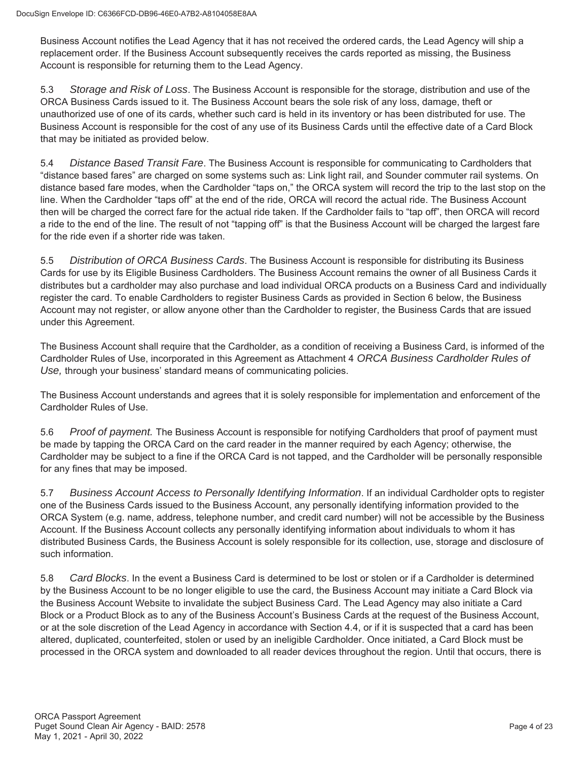Business Account notifies the Lead Agency that it has not received the ordered cards, the Lead Agency will ship a replacement order. If the Business Account subsequently receives the cards reported as missing, the Business Account is responsible for returning them to the Lead Agency.

5.3 *Storage and Risk of Loss*. The Business Account is responsible for the storage, distribution and use of the ORCA Business Cards issued to it. The Business Account bears the sole risk of any loss, damage, theft or unauthorized use of one of its cards, whether such card is held in its inventory or has been distributed for use. The Business Account is responsible for the cost of any use of its Business Cards until the effective date of a Card Block that may be initiated as provided below.

5.4 *Distance Based Transit Fare*. The Business Account is responsible for communicating to Cardholders that "distance based fares" are charged on some systems such as: Link light rail, and Sounder commuter rail systems. On distance based fare modes, when the Cardholder "taps on," the ORCA system will record the trip to the last stop on the line. When the Cardholder "taps off" at the end of the ride, ORCA will record the actual ride. The Business Account then will be charged the correct fare for the actual ride taken. If the Cardholder fails to "tap off", then ORCA will record a ride to the end of the line. The result of not "tapping off" is that the Business Account will be charged the largest fare for the ride even if a shorter ride was taken.

5.5 *Distribution of ORCA Business Cards*. The Business Account is responsible for distributing its Business Cards for use by its Eligible Business Cardholders. The Business Account remains the owner of all Business Cards it distributes but a cardholder may also purchase and load individual ORCA products on a Business Card and individually register the card. To enable Cardholders to register Business Cards as provided in Section 6 below, the Business Account may not register, or allow anyone other than the Cardholder to register, the Business Cards that are issued under this Agreement.

The Business Account shall require that the Cardholder, as a condition of receiving a Business Card, is informed of the Cardholder Rules of Use, incorporated in this Agreement as Attachment 4 *ORCA Business Cardholder Rules of Use,* through your business' standard means of communicating policies.

The Business Account understands and agrees that it is solely responsible for implementation and enforcement of the Cardholder Rules of Use.

5.6 *Proof of payment.* The Business Account is responsible for notifying Cardholders that proof of payment must be made by tapping the ORCA Card on the card reader in the manner required by each Agency; otherwise, the Cardholder may be subject to a fine if the ORCA Card is not tapped, and the Cardholder will be personally responsible for any fines that may be imposed.

5.7 *Business Account Access to Personally Identifying Information*. If an individual Cardholder opts to register one of the Business Cards issued to the Business Account, any personally identifying information provided to the ORCA System (e.g. name, address, telephone number, and credit card number) will not be accessible by the Business Account. If the Business Account collects any personally identifying information about individuals to whom it has distributed Business Cards, the Business Account is solely responsible for its collection, use, storage and disclosure of such information.

5.8 *Card Blocks*. In the event a Business Card is determined to be lost or stolen or if a Cardholder is determined by the Business Account to be no longer eligible to use the card, the Business Account may initiate a Card Block via the Business Account Website to invalidate the subject Business Card. The Lead Agency may also initiate a Card Block or a Product Block as to any of the Business Account's Business Cards at the request of the Business Account, or at the sole discretion of the Lead Agency in accordance with Section 4.4, or if it is suspected that a card has been altered, duplicated, counterfeited, stolen or used by an ineligible Cardholder. Once initiated, a Card Block must be processed in the ORCA system and downloaded to all reader devices throughout the region. Until that occurs, there is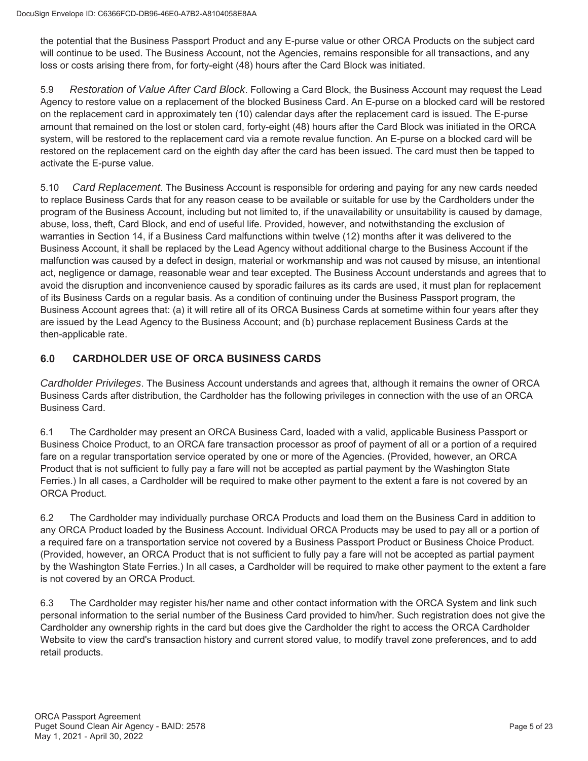the potential that the Business Passport Product and any E-purse value or other ORCA Products on the subject card will continue to be used. The Business Account, not the Agencies, remains responsible for all transactions, and any loss or costs arising there from, for forty-eight (48) hours after the Card Block was initiated.

5.9 *Restoration of Value After Card Block*. Following a Card Block, the Business Account may request the Lead Agency to restore value on a replacement of the blocked Business Card. An E-purse on a blocked card will be restored on the replacement card in approximately ten (10) calendar days after the replacement card is issued. The E-purse amount that remained on the lost or stolen card, forty-eight (48) hours after the Card Block was initiated in the ORCA system, will be restored to the replacement card via a remote revalue function. An E-purse on a blocked card will be restored on the replacement card on the eighth day after the card has been issued. The card must then be tapped to activate the E-purse value.

5.10 *Card Replacement*. The Business Account is responsible for ordering and paying for any new cards needed to replace Business Cards that for any reason cease to be available or suitable for use by the Cardholders under the program of the Business Account, including but not limited to, if the unavailability or unsuitability is caused by damage, abuse, loss, theft, Card Block, and end of useful life. Provided, however, and notwithstanding the exclusion of warranties in Section 14, if a Business Card malfunctions within twelve (12) months after it was delivered to the Business Account, it shall be replaced by the Lead Agency without additional charge to the Business Account if the malfunction was caused by a defect in design, material or workmanship and was not caused by misuse, an intentional act, negligence or damage, reasonable wear and tear excepted. The Business Account understands and agrees that to avoid the disruption and inconvenience caused by sporadic failures as its cards are used, it must plan for replacement of its Business Cards on a regular basis. As a condition of continuing under the Business Passport program, the Business Account agrees that: (a) it will retire all of its ORCA Business Cards at sometime within four years after they are issued by the Lead Agency to the Business Account; and (b) purchase replacement Business Cards at the then-applicable rate.

# **6.0 CARDHOLDER USE OF ORCA BUSINESS CARDS**

*Cardholder Privileges*. The Business Account understands and agrees that, although it remains the owner of ORCA Business Cards after distribution, the Cardholder has the following privileges in connection with the use of an ORCA Business Card.

6.1 The Cardholder may present an ORCA Business Card, loaded with a valid, applicable Business Passport or Business Choice Product, to an ORCA fare transaction processor as proof of payment of all or a portion of a required fare on a regular transportation service operated by one or more of the Agencies. (Provided, however, an ORCA Product that is not sufficient to fully pay a fare will not be accepted as partial payment by the Washington State Ferries.) In all cases, a Cardholder will be required to make other payment to the extent a fare is not covered by an ORCA Product.

6.2 The Cardholder may individually purchase ORCA Products and load them on the Business Card in addition to any ORCA Product loaded by the Business Account. Individual ORCA Products may be used to pay all or a portion of a required fare on a transportation service not covered by a Business Passport Product or Business Choice Product. (Provided, however, an ORCA Product that is not sufficient to fully pay a fare will not be accepted as partial payment by the Washington State Ferries.) In all cases, a Cardholder will be required to make other payment to the extent a fare is not covered by an ORCA Product.

6.3 The Cardholder may register his/her name and other contact information with the ORCA System and link such personal information to the serial number of the Business Card provided to him/her. Such registration does not give the Cardholder any ownership rights in the card but does give the Cardholder the right to access the ORCA Cardholder Website to view the card's transaction history and current stored value, to modify travel zone preferences, and to add retail products.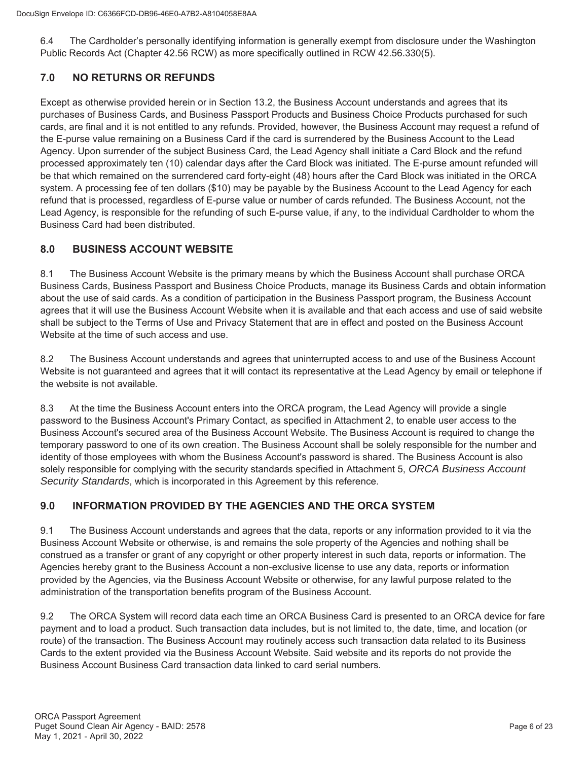6.4 The Cardholder's personally identifying information is generally exempt from disclosure under the Washington Public Records Act (Chapter 42.56 RCW) as more specifically outlined in RCW 42.56.330(5).

## **7.0 NO RETURNS OR REFUNDS**

Except as otherwise provided herein or in Section 13.2, the Business Account understands and agrees that its purchases of Business Cards, and Business Passport Products and Business Choice Products purchased for such cards, are final and it is not entitled to any refunds. Provided, however, the Business Account may request a refund of the E-purse value remaining on a Business Card if the card is surrendered by the Business Account to the Lead Agency. Upon surrender of the subject Business Card, the Lead Agency shall initiate a Card Block and the refund processed approximately ten (10) calendar days after the Card Block was initiated. The E-purse amount refunded will be that which remained on the surrendered card forty-eight (48) hours after the Card Block was initiated in the ORCA system. A processing fee of ten dollars (\$10) may be payable by the Business Account to the Lead Agency for each refund that is processed, regardless of E-purse value or number of cards refunded. The Business Account, not the Lead Agency, is responsible for the refunding of such E-purse value, if any, to the individual Cardholder to whom the Business Card had been distributed.

## **8.0 BUSINESS ACCOUNT WEBSITE**

8.1 The Business Account Website is the primary means by which the Business Account shall purchase ORCA Business Cards, Business Passport and Business Choice Products, manage its Business Cards and obtain information about the use of said cards. As a condition of participation in the Business Passport program, the Business Account agrees that it will use the Business Account Website when it is available and that each access and use of said website shall be subject to the Terms of Use and Privacy Statement that are in effect and posted on the Business Account Website at the time of such access and use.

8.2 The Business Account understands and agrees that uninterrupted access to and use of the Business Account Website is not guaranteed and agrees that it will contact its representative at the Lead Agency by email or telephone if the website is not available.

8.3 At the time the Business Account enters into the ORCA program, the Lead Agency will provide a single password to the Business Account's Primary Contact, as specified in Attachment 2, to enable user access to the Business Account's secured area of the Business Account Website. The Business Account is required to change the temporary password to one of its own creation. The Business Account shall be solely responsible for the number and identity of those employees with whom the Business Account's password is shared. The Business Account is also solely responsible for complying with the security standards specified in Attachment 5, *ORCA Business Account Security Standards*, which is incorporated in this Agreement by this reference.

## **9.0 INFORMATION PROVIDED BY THE AGENCIES AND THE ORCA SYSTEM**

9.1 The Business Account understands and agrees that the data, reports or any information provided to it via the Business Account Website or otherwise, is and remains the sole property of the Agencies and nothing shall be construed as a transfer or grant of any copyright or other property interest in such data, reports or information. The Agencies hereby grant to the Business Account a non-exclusive license to use any data, reports or information provided by the Agencies, via the Business Account Website or otherwise, for any lawful purpose related to the administration of the transportation benefits program of the Business Account.

9.2 The ORCA System will record data each time an ORCA Business Card is presented to an ORCA device for fare payment and to load a product. Such transaction data includes, but is not limited to, the date, time, and location (or route) of the transaction. The Business Account may routinely access such transaction data related to its Business Cards to the extent provided via the Business Account Website. Said website and its reports do not provide the Business Account Business Card transaction data linked to card serial numbers.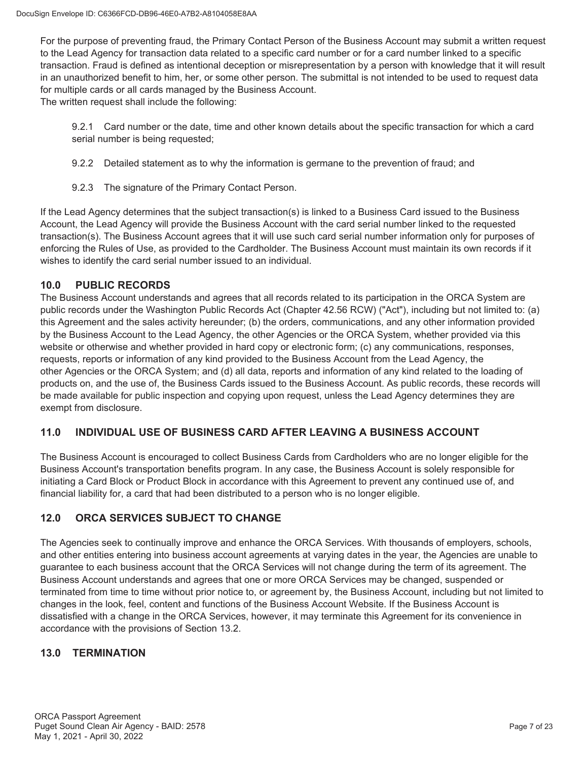For the purpose of preventing fraud, the Primary Contact Person of the Business Account may submit a written request to the Lead Agency for transaction data related to a specific card number or for a card number linked to a specific transaction. Fraud is defined as intentional deception or misrepresentation by a person with knowledge that it will result in an unauthorized benefit to him, her, or some other person. The submittal is not intended to be used to request data for multiple cards or all cards managed by the Business Account.

The written request shall include the following:

9.2.1 Card number or the date, time and other known details about the specific transaction for which a card serial number is being requested;

9.2.2 Detailed statement as to why the information is germane to the prevention of fraud; and

9.2.3 The signature of the Primary Contact Person.

If the Lead Agency determines that the subject transaction(s) is linked to a Business Card issued to the Business Account, the Lead Agency will provide the Business Account with the card serial number linked to the requested transaction(s). The Business Account agrees that it will use such card serial number information only for purposes of enforcing the Rules of Use, as provided to the Cardholder. The Business Account must maintain its own records if it wishes to identify the card serial number issued to an individual.

### **10.0 PUBLIC RECORDS**

The Business Account understands and agrees that all records related to its participation in the ORCA System are public records under the Washington Public Records Act (Chapter 42.56 RCW) ("Act"), including but not limited to: (a) this Agreement and the sales activity hereunder; (b) the orders, communications, and any other information provided by the Business Account to the Lead Agency, the other Agencies or the ORCA System, whether provided via this website or otherwise and whether provided in hard copy or electronic form; (c) any communications, responses, requests, reports or information of any kind provided to the Business Account from the Lead Agency, the other Agencies or the ORCA System; and (d) all data, reports and information of any kind related to the loading of products on, and the use of, the Business Cards issued to the Business Account. As public records, these records will be made available for public inspection and copying upon request, unless the Lead Agency determines they are exempt from disclosure.

## **11.0 INDIVIDUAL USE OF BUSINESS CARD AFTER LEAVING A BUSINESS ACCOUNT**

The Business Account is encouraged to collect Business Cards from Cardholders who are no longer eligible for the Business Account's transportation benefits program. In any case, the Business Account is solely responsible for initiating a Card Block or Product Block in accordance with this Agreement to prevent any continued use of, and financial liability for, a card that had been distributed to a person who is no longer eligible.

## **12.0 ORCA SERVICES SUBJECT TO CHANGE**

The Agencies seek to continually improve and enhance the ORCA Services. With thousands of employers, schools, and other entities entering into business account agreements at varying dates in the year, the Agencies are unable to guarantee to each business account that the ORCA Services will not change during the term of its agreement. The Business Account understands and agrees that one or more ORCA Services may be changed, suspended or terminated from time to time without prior notice to, or agreement by, the Business Account, including but not limited to changes in the look, feel, content and functions of the Business Account Website. If the Business Account is dissatisfied with a change in the ORCA Services, however, it may terminate this Agreement for its convenience in accordance with the provisions of Section 13.2.

## **13.0 TERMINATION**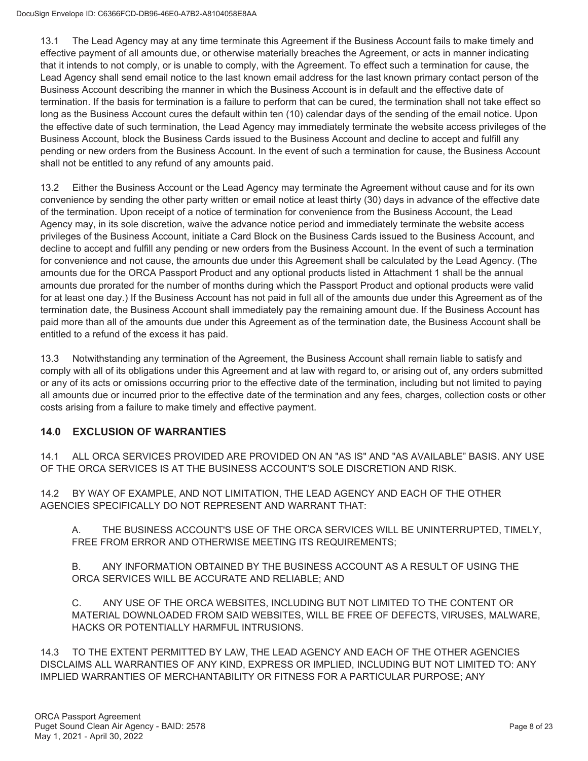13.1 The Lead Agency may at any time terminate this Agreement if the Business Account fails to make timely and effective payment of all amounts due, or otherwise materially breaches the Agreement, or acts in manner indicating that it intends to not comply, or is unable to comply, with the Agreement. To effect such a termination for cause, the Lead Agency shall send email notice to the last known email address for the last known primary contact person of the Business Account describing the manner in which the Business Account is in default and the effective date of termination. If the basis for termination is a failure to perform that can be cured, the termination shall not take effect so long as the Business Account cures the default within ten (10) calendar days of the sending of the email notice. Upon the effective date of such termination, the Lead Agency may immediately terminate the website access privileges of the Business Account, block the Business Cards issued to the Business Account and decline to accept and fulfill any pending or new orders from the Business Account. In the event of such a termination for cause, the Business Account shall not be entitled to any refund of any amounts paid.

13.2 Either the Business Account or the Lead Agency may terminate the Agreement without cause and for its own convenience by sending the other party written or email notice at least thirty (30) days in advance of the effective date of the termination. Upon receipt of a notice of termination for convenience from the Business Account, the Lead Agency may, in its sole discretion, waive the advance notice period and immediately terminate the website access privileges of the Business Account, initiate a Card Block on the Business Cards issued to the Business Account, and decline to accept and fulfill any pending or new orders from the Business Account. In the event of such a termination for convenience and not cause, the amounts due under this Agreement shall be calculated by the Lead Agency. (The amounts due for the ORCA Passport Product and any optional products listed in Attachment 1 shall be the annual amounts due prorated for the number of months during which the Passport Product and optional products were valid for at least one day.) If the Business Account has not paid in full all of the amounts due under this Agreement as of the termination date, the Business Account shall immediately pay the remaining amount due. If the Business Account has paid more than all of the amounts due under this Agreement as of the termination date, the Business Account shall be entitled to a refund of the excess it has paid.

13.3 Notwithstanding any termination of the Agreement, the Business Account shall remain liable to satisfy and comply with all of its obligations under this Agreement and at law with regard to, or arising out of, any orders submitted or any of its acts or omissions occurring prior to the effective date of the termination, including but not limited to paying all amounts due or incurred prior to the effective date of the termination and any fees, charges, collection costs or other costs arising from a failure to make timely and effective payment.

# **14.0 EXCLUSION OF WARRANTIES**

14.1 ALL ORCA SERVICES PROVIDED ARE PROVIDED ON AN "AS IS" AND "AS AVAILABLE" BASIS. ANY USE OF THE ORCA SERVICES IS AT THE BUSINESS ACCOUNT'S SOLE DISCRETION AND RISK.

14.2 BY WAY OF EXAMPLE, AND NOT LIMITATION, THE LEAD AGENCY AND EACH OF THE OTHER AGENCIES SPECIFICALLY DO NOT REPRESENT AND WARRANT THAT:

A. THE BUSINESS ACCOUNT'S USE OF THE ORCA SERVICES WILL BE UNINTERRUPTED, TIMELY, FREE FROM ERROR AND OTHERWISE MEETING ITS REQUIREMENTS;

B. ANY INFORMATION OBTAINED BY THE BUSINESS ACCOUNT AS A RESULT OF USING THE ORCA SERVICES WILL BE ACCURATE AND RELIABLE; AND

C. ANY USE OF THE ORCA WEBSITES, INCLUDING BUT NOT LIMITED TO THE CONTENT OR MATERIAL DOWNLOADED FROM SAID WEBSITES, WILL BE FREE OF DEFECTS, VIRUSES, MALWARE, HACKS OR POTENTIALLY HARMFUL INTRUSIONS.

14.3 TO THE EXTENT PERMITTED BY LAW, THE LEAD AGENCY AND EACH OF THE OTHER AGENCIES DISCLAIMS ALL WARRANTIES OF ANY KIND, EXPRESS OR IMPLIED, INCLUDING BUT NOT LIMITED TO: ANY IMPLIED WARRANTIES OF MERCHANTABILITY OR FITNESS FOR A PARTICULAR PURPOSE; ANY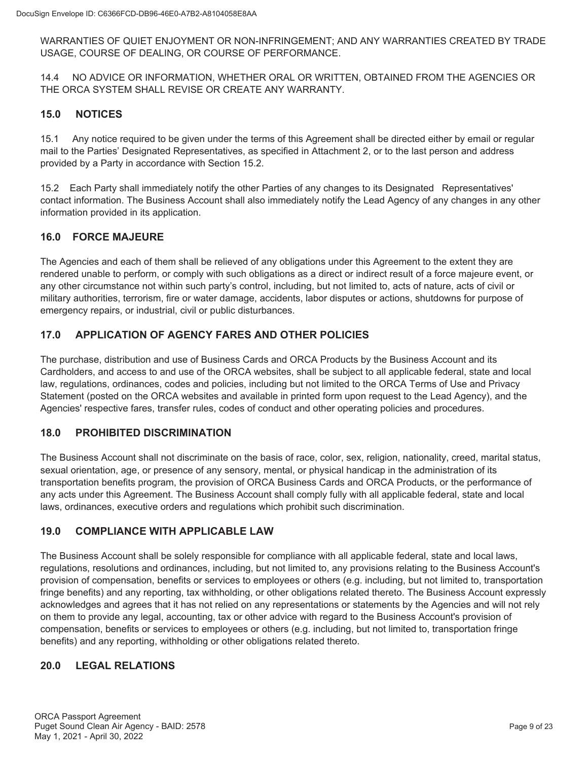WARRANTIES OF QUIET ENJOYMENT OR NON-INFRINGEMENT; AND ANY WARRANTIES CREATED BY TRADE USAGE, COURSE OF DEALING, OR COURSE OF PERFORMANCE.

14.4 NO ADVICE OR INFORMATION, WHETHER ORAL OR WRITTEN, OBTAINED FROM THE AGENCIES OR THE ORCA SYSTEM SHALL REVISE OR CREATE ANY WARRANTY.

### **15.0 NOTICES**

15.1 Any notice required to be given under the terms of this Agreement shall be directed either by email or regular mail to the Parties' Designated Representatives, as specified in Attachment 2, or to the last person and address provided by a Party in accordance with Section 15.2.

15.2 Each Party shall immediately notify the other Parties of any changes to its Designated Representatives' contact information. The Business Account shall also immediately notify the Lead Agency of any changes in any other information provided in its application.

### **16.0 FORCE MAJEURE**

The Agencies and each of them shall be relieved of any obligations under this Agreement to the extent they are rendered unable to perform, or comply with such obligations as a direct or indirect result of a force majeure event, or any other circumstance not within such party's control, including, but not limited to, acts of nature, acts of civil or military authorities, terrorism, fire or water damage, accidents, labor disputes or actions, shutdowns for purpose of emergency repairs, or industrial, civil or public disturbances.

## **17.0 APPLICATION OF AGENCY FARES AND OTHER POLICIES**

The purchase, distribution and use of Business Cards and ORCA Products by the Business Account and its Cardholders, and access to and use of the ORCA websites, shall be subject to all applicable federal, state and local law, regulations, ordinances, codes and policies, including but not limited to the ORCA Terms of Use and Privacy Statement (posted on the ORCA websites and available in printed form upon request to the Lead Agency), and the Agencies' respective fares, transfer rules, codes of conduct and other operating policies and procedures.

## **18.0 PROHIBITED DISCRIMINATION**

The Business Account shall not discriminate on the basis of race, color, sex, religion, nationality, creed, marital status, sexual orientation, age, or presence of any sensory, mental, or physical handicap in the administration of its transportation benefits program, the provision of ORCA Business Cards and ORCA Products, or the performance of any acts under this Agreement. The Business Account shall comply fully with all applicable federal, state and local laws, ordinances, executive orders and regulations which prohibit such discrimination.

## **19.0 COMPLIANCE WITH APPLICABLE LAW**

The Business Account shall be solely responsible for compliance with all applicable federal, state and local laws, regulations, resolutions and ordinances, including, but not limited to, any provisions relating to the Business Account's provision of compensation, benefits or services to employees or others (e.g. including, but not limited to, transportation fringe benefits) and any reporting, tax withholding, or other obligations related thereto. The Business Account expressly acknowledges and agrees that it has not relied on any representations or statements by the Agencies and will not rely on them to provide any legal, accounting, tax or other advice with regard to the Business Account's provision of compensation, benefits or services to employees or others (e.g. including, but not limited to, transportation fringe benefits) and any reporting, withholding or other obligations related thereto.

## **20.0 LEGAL RELATIONS**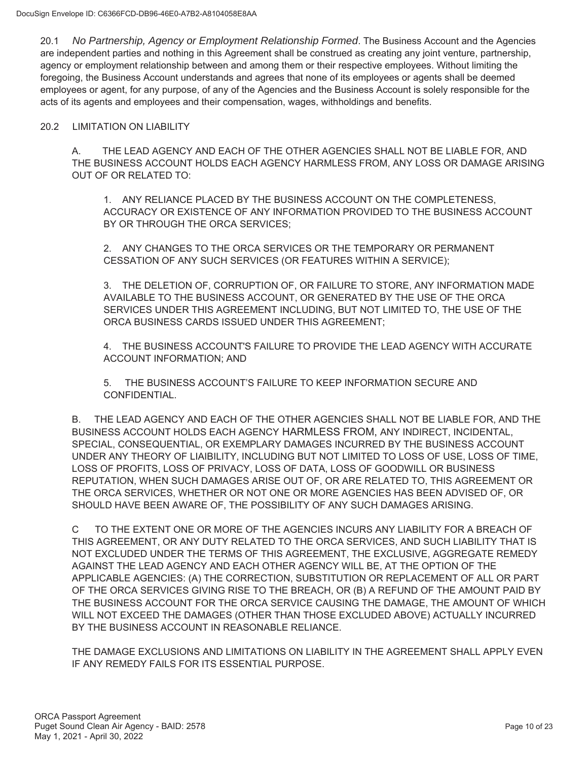20.1 *No Partnership, Agency or Employment Relationship Formed*. The Business Account and the Agencies are independent parties and nothing in this Agreement shall be construed as creating any joint venture, partnership, agency or employment relationship between and among them or their respective employees. Without limiting the foregoing, the Business Account understands and agrees that none of its employees or agents shall be deemed employees or agent, for any purpose, of any of the Agencies and the Business Account is solely responsible for the acts of its agents and employees and their compensation, wages, withholdings and benefits.

### 20.2 LIMITATION ON LIABILITY

A. THE LEAD AGENCY AND EACH OF THE OTHER AGENCIES SHALL NOT BE LIABLE FOR, AND THE BUSINESS ACCOUNT HOLDS EACH AGENCY HARMLESS FROM, ANY LOSS OR DAMAGE ARISING OUT OF OR RELATED TO:

1. ANY RELIANCE PLACED BY THE BUSINESS ACCOUNT ON THE COMPLETENESS, ACCURACY OR EXISTENCE OF ANY INFORMATION PROVIDED TO THE BUSINESS ACCOUNT BY OR THROUGH THE ORCA SERVICES;

2. ANY CHANGES TO THE ORCA SERVICES OR THE TEMPORARY OR PERMANENT CESSATION OF ANY SUCH SERVICES (OR FEATURES WITHIN A SERVICE);

3. THE DELETION OF, CORRUPTION OF, OR FAILURE TO STORE, ANY INFORMATION MADE AVAILABLE TO THE BUSINESS ACCOUNT, OR GENERATED BY THE USE OF THE ORCA SERVICES UNDER THIS AGREEMENT INCLUDING, BUT NOT LIMITED TO, THE USE OF THE ORCA BUSINESS CARDS ISSUED UNDER THIS AGREEMENT;

4. THE BUSINESS ACCOUNT'S FAILURE TO PROVIDE THE LEAD AGENCY WITH ACCURATE ACCOUNT INFORMATION; AND

5. THE BUSINESS ACCOUNT'S FAILURE TO KEEP INFORMATION SECURE AND CONFIDENTIAL.

B. THE LEAD AGENCY AND EACH OF THE OTHER AGENCIES SHALL NOT BE LIABLE FOR, AND THE BUSINESS ACCOUNT HOLDS EACH AGENCY HARMLESS FROM, ANY INDIRECT, INCIDENTAL, SPECIAL, CONSEQUENTIAL, OR EXEMPLARY DAMAGES INCURRED BY THE BUSINESS ACCOUNT UNDER ANY THEORY OF LIAIBILITY, INCLUDING BUT NOT LIMITED TO LOSS OF USE, LOSS OF TIME, LOSS OF PROFITS, LOSS OF PRIVACY, LOSS OF DATA, LOSS OF GOODWILL OR BUSINESS REPUTATION, WHEN SUCH DAMAGES ARISE OUT OF, OR ARE RELATED TO, THIS AGREEMENT OR THE ORCA SERVICES, WHETHER OR NOT ONE OR MORE AGENCIES HAS BEEN ADVISED OF, OR SHOULD HAVE BEEN AWARE OF, THE POSSIBILITY OF ANY SUCH DAMAGES ARISING.

C TO THE EXTENT ONE OR MORE OF THE AGENCIES INCURS ANY LIABILITY FOR A BREACH OF THIS AGREEMENT, OR ANY DUTY RELATED TO THE ORCA SERVICES, AND SUCH LIABILITY THAT IS NOT EXCLUDED UNDER THE TERMS OF THIS AGREEMENT, THE EXCLUSIVE, AGGREGATE REMEDY AGAINST THE LEAD AGENCY AND EACH OTHER AGENCY WILL BE, AT THE OPTION OF THE APPLICABLE AGENCIES: (A) THE CORRECTION, SUBSTITUTION OR REPLACEMENT OF ALL OR PART OF THE ORCA SERVICES GIVING RISE TO THE BREACH, OR (B) A REFUND OF THE AMOUNT PAID BY THE BUSINESS ACCOUNT FOR THE ORCA SERVICE CAUSING THE DAMAGE, THE AMOUNT OF WHICH WILL NOT EXCEED THE DAMAGES (OTHER THAN THOSE EXCLUDED ABOVE) ACTUALLY INCURRED BY THE BUSINESS ACCOUNT IN REASONABLE RELIANCE.

THE DAMAGE EXCLUSIONS AND LIMITATIONS ON LIABILITY IN THE AGREEMENT SHALL APPLY EVEN IF ANY REMEDY FAILS FOR ITS ESSENTIAL PURPOSE.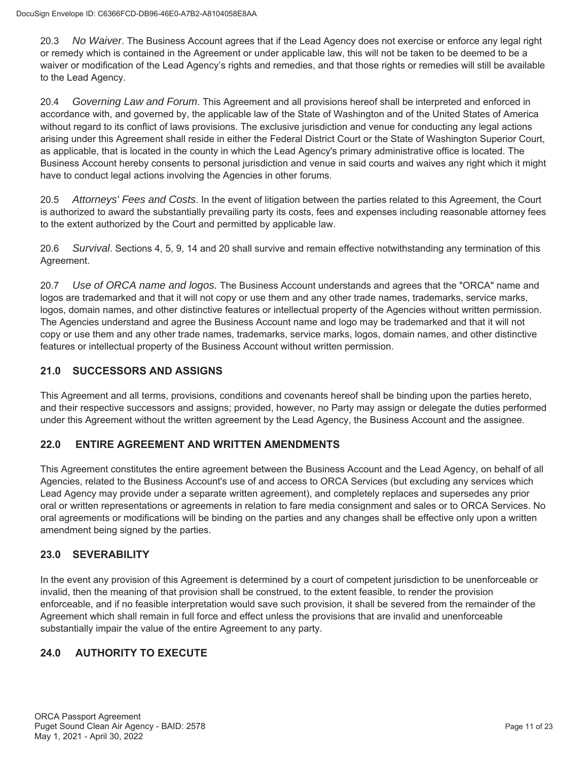20.3 *No Waiver*. The Business Account agrees that if the Lead Agency does not exercise or enforce any legal right or remedy which is contained in the Agreement or under applicable law, this will not be taken to be deemed to be a waiver or modification of the Lead Agency's rights and remedies, and that those rights or remedies will still be available to the Lead Agency.

20.4 *Governing Law and Forum*. This Agreement and all provisions hereof shall be interpreted and enforced in accordance with, and governed by, the applicable law of the State of Washington and of the United States of America without regard to its conflict of laws provisions. The exclusive jurisdiction and venue for conducting any legal actions arising under this Agreement shall reside in either the Federal District Court or the State of Washington Superior Court, as applicable, that is located in the county in which the Lead Agency's primary administrative office is located. The Business Account hereby consents to personal jurisdiction and venue in said courts and waives any right which it might have to conduct legal actions involving the Agencies in other forums.

20.5 *Attorneys' Fees and Costs*. In the event of litigation between the parties related to this Agreement, the Court is authorized to award the substantially prevailing party its costs, fees and expenses including reasonable attorney fees to the extent authorized by the Court and permitted by applicable law.

20.6 *Survival*. Sections 4, 5, 9, 14 and 20 shall survive and remain effective notwithstanding any termination of this Agreement.

20.7 *Use of ORCA name and logos.* The Business Account understands and agrees that the "ORCA" name and logos are trademarked and that it will not copy or use them and any other trade names, trademarks, service marks, logos, domain names, and other distinctive features or intellectual property of the Agencies without written permission. The Agencies understand and agree the Business Account name and logo may be trademarked and that it will not copy or use them and any other trade names, trademarks, service marks, logos, domain names, and other distinctive features or intellectual property of the Business Account without written permission.

## **21.0 SUCCESSORS AND ASSIGNS**

This Agreement and all terms, provisions, conditions and covenants hereof shall be binding upon the parties hereto, and their respective successors and assigns; provided, however, no Party may assign or delegate the duties performed under this Agreement without the written agreement by the Lead Agency, the Business Account and the assignee.

## **22.0 ENTIRE AGREEMENT AND WRITTEN AMENDMENTS**

This Agreement constitutes the entire agreement between the Business Account and the Lead Agency, on behalf of all Agencies, related to the Business Account's use of and access to ORCA Services (but excluding any services which Lead Agency may provide under a separate written agreement), and completely replaces and supersedes any prior oral or written representations or agreements in relation to fare media consignment and sales or to ORCA Services. No oral agreements or modifications will be binding on the parties and any changes shall be effective only upon a written amendment being signed by the parties.

## **23.0 SEVERABILITY**

In the event any provision of this Agreement is determined by a court of competent jurisdiction to be unenforceable or invalid, then the meaning of that provision shall be construed, to the extent feasible, to render the provision enforceable, and if no feasible interpretation would save such provision, it shall be severed from the remainder of the Agreement which shall remain in full force and effect unless the provisions that are invalid and unenforceable substantially impair the value of the entire Agreement to any party.

# **24.0 AUTHORITY TO EXECUTE**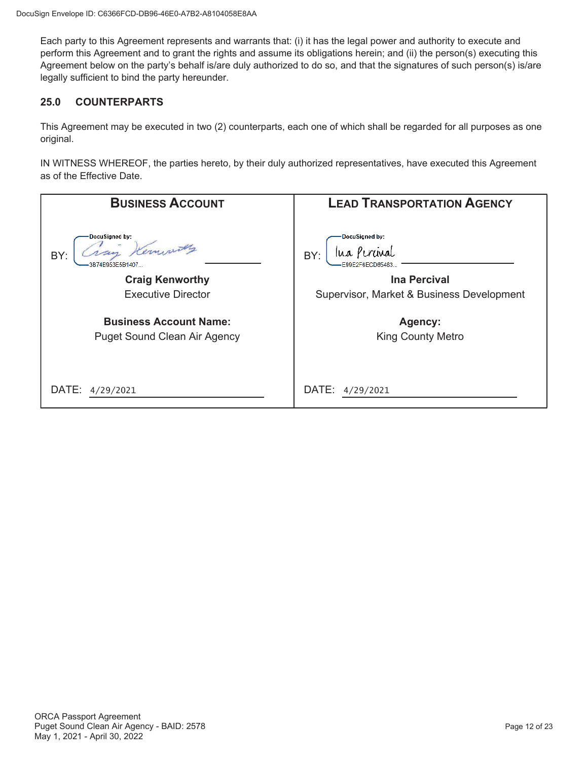Each party to this Agreement represents and warrants that: (i) it has the legal power and authority to execute and perform this Agreement and to grant the rights and assume its obligations herein; and (ii) the person(s) executing this Agreement below on the party's behalf is/are duly authorized to do so, and that the signatures of such person(s) is/are legally sufficient to bind the party hereunder.

## **25.0 COUNTERPARTS**

This Agreement may be executed in two (2) counterparts, each one of which shall be regarded for all purposes as one original.

IN WITNESS WHEREOF, the parties hereto, by their duly authorized representatives, have executed this Agreement as of the Effective Date.

| <b>BUSINESS ACCOUNT</b>               | <b>LEAD TRANSPORTATION AGENCY</b>         |
|---------------------------------------|-------------------------------------------|
| DocuSigned by:<br>BY:<br>R74R953E5R14 | DocuSigned by:<br>lua Perunal<br>BY:      |
| <b>Craig Kenworthy</b>                | <b>Ina Percival</b>                       |
| <b>Executive Director</b>             | Supervisor, Market & Business Development |
| <b>Business Account Name:</b>         | Agency:                                   |
| <b>Puget Sound Clean Air Agency</b>   | <b>King County Metro</b>                  |
|                                       |                                           |
| DATE:<br>4/29/2021                    | DATE:<br>4/29/2021                        |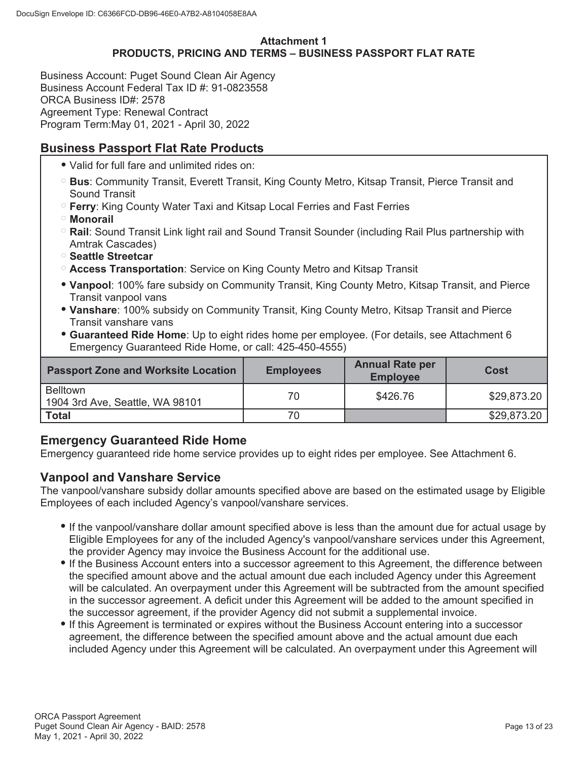## **Attachment 1 PRODUCTS, PRICING AND TERMS – BUSINESS PASSPORT FLAT RATE**

Business Account: Puget Sound Clean Air Agency Business Account Federal Tax ID #: 91-0823558 ORCA Business ID#: 2578 Agreement Type: Renewal Contract Program Term:May 01, 2021 - April 30, 2022

# **Business Passport Flat Rate Products**

- Valid for full fare and unlimited rides on:
- **Bus**: Community Transit, Everett Transit, King County Metro, Kitsap Transit, Pierce Transit and Sound Transit
- **Ferry**: King County Water Taxi and Kitsap Local Ferries and Fast Ferries
- **Monorail**
- **Rail**: Sound Transit Link light rail and Sound Transit Sounder (including Rail Plus partnership with Amtrak Cascades)
- **Seattle Streetcar**
- **Access Transportation**: Service on King County Metro and Kitsap Transit
- **Vanpool**: 100% fare subsidy on Community Transit, King County Metro, Kitsap Transit, and Pierce Transit vanpool vans
- **Vanshare**: 100% subsidy on Community Transit, King County Metro, Kitsap Transit and Pierce Transit vanshare vans
- **Guaranteed Ride Home**: Up to eight rides home per employee. (For details, see Attachment 6 Emergency Guaranteed Ride Home, or call: 425-450-4555)

| <b>Passport Zone and Worksite Location</b>         | <b>Employees</b> | <b>Annual Rate per</b><br><b>Employee</b> | Cost        |
|----------------------------------------------------|------------------|-------------------------------------------|-------------|
| <b>Belltown</b><br>1904 3rd Ave, Seattle, WA 98101 | 70               | \$426.76                                  | \$29,873.20 |
| <b>Total</b>                                       | 70               |                                           | \$29,873.20 |

# **Emergency Guaranteed Ride Home**

Emergency guaranteed ride home service provides up to eight rides per employee. See Attachment 6.

# **Vanpool and Vanshare Service**

The vanpool/vanshare subsidy dollar amounts specified above are based on the estimated usage by Eligible Employees of each included Agency's vanpool/vanshare services.

- If the vanpool/vanshare dollar amount specified above is less than the amount due for actual usage by Eligible Employees for any of the included Agency's vanpool/vanshare services under this Agreement, the provider Agency may invoice the Business Account for the additional use.
- If the Business Account enters into a successor agreement to this Agreement, the difference between the specified amount above and the actual amount due each included Agency under this Agreement will be calculated. An overpayment under this Agreement will be subtracted from the amount specified in the successor agreement. A deficit under this Agreement will be added to the amount specified in the successor agreement, if the provider Agency did not submit a supplemental invoice.
- If this Agreement is terminated or expires without the Business Account entering into a successor agreement, the difference between the specified amount above and the actual amount due each included Agency under this Agreement will be calculated. An overpayment under this Agreement will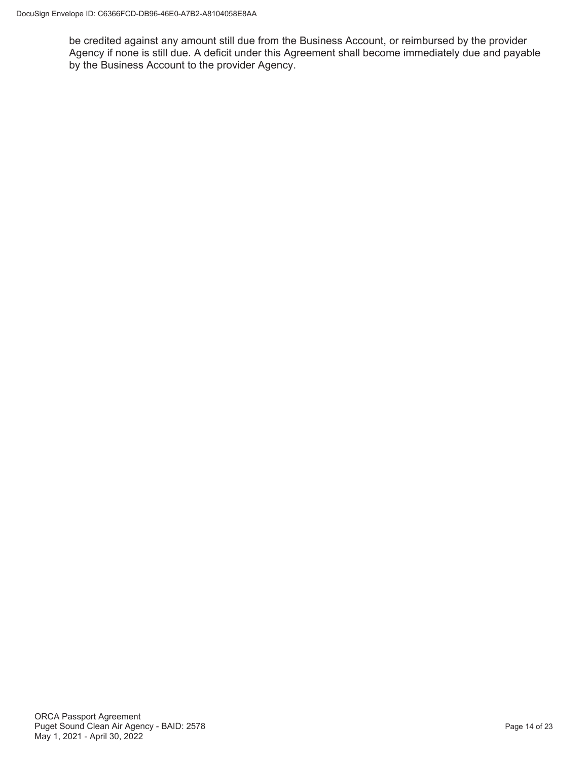be credited against any amount still due from the Business Account, or reimbursed by the provider Agency if none is still due. A deficit under this Agreement shall become immediately due and payable by the Business Account to the provider Agency.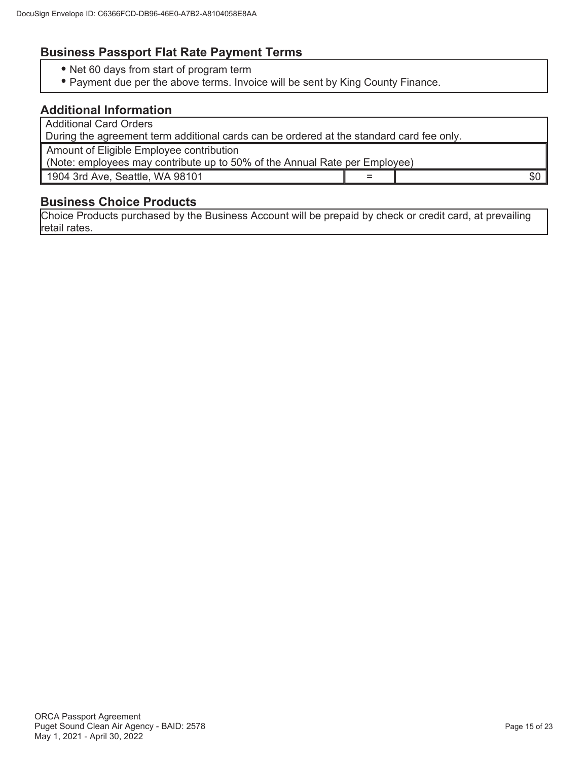# **Business Passport Flat Rate Payment Terms**

- Net 60 days from start of program term
- Payment due per the above terms. Invoice will be sent by King County Finance.

## **Additional Information**

Additional Card Orders

During the agreement term additional cards can be ordered at the standard card fee only.

Amount of Eligible Employee contribution

(Note: employees may contribute up to 50% of the Annual Rate per Employee)

1904 3rd Ave, Seattle, WA 98101  $\vert$  =  $\vert$  =  $\vert$  \$0

## **Business Choice Products**

Choice Products purchased by the Business Account will be prepaid by check or credit card, at prevailing retail rates.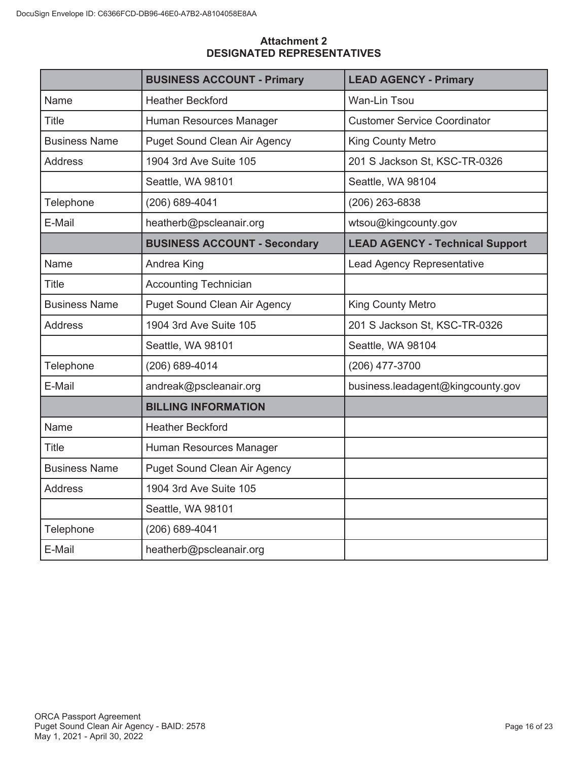|                      | <b>BUSINESS ACCOUNT - Primary</b>   | <b>LEAD AGENCY - Primary</b>           |
|----------------------|-------------------------------------|----------------------------------------|
| Name                 | <b>Heather Beckford</b>             | Wan-Lin Tsou                           |
| Title                | Human Resources Manager             | <b>Customer Service Coordinator</b>    |
| <b>Business Name</b> | <b>Puget Sound Clean Air Agency</b> | <b>King County Metro</b>               |
| <b>Address</b>       | 1904 3rd Ave Suite 105              | 201 S Jackson St, KSC-TR-0326          |
|                      | Seattle, WA 98101                   | Seattle, WA 98104                      |
| Telephone            | (206) 689-4041                      | (206) 263-6838                         |
| E-Mail               | heatherb@pscleanair.org             | wtsou@kingcounty.gov                   |
|                      | <b>BUSINESS ACCOUNT - Secondary</b> | <b>LEAD AGENCY - Technical Support</b> |
| Name                 | Andrea King                         | Lead Agency Representative             |
| <b>Title</b>         | <b>Accounting Technician</b>        |                                        |
| <b>Business Name</b> | <b>Puget Sound Clean Air Agency</b> | <b>King County Metro</b>               |
| <b>Address</b>       | 1904 3rd Ave Suite 105              | 201 S Jackson St, KSC-TR-0326          |
|                      | Seattle, WA 98101                   | Seattle, WA 98104                      |
| Telephone            | (206) 689-4014                      | (206) 477-3700                         |
| E-Mail               | andreak@pscleanair.org              | business.leadagent@kingcounty.gov      |
|                      | <b>BILLING INFORMATION</b>          |                                        |
| Name                 | <b>Heather Beckford</b>             |                                        |
| <b>Title</b>         | Human Resources Manager             |                                        |
| <b>Business Name</b> | <b>Puget Sound Clean Air Agency</b> |                                        |
| <b>Address</b>       | 1904 3rd Ave Suite 105              |                                        |
|                      | Seattle, WA 98101                   |                                        |
| Telephone            | (206) 689-4041                      |                                        |
| E-Mail               | heatherb@pscleanair.org             |                                        |

## **Attachment 2 DESIGNATED REPRESENTATIVES**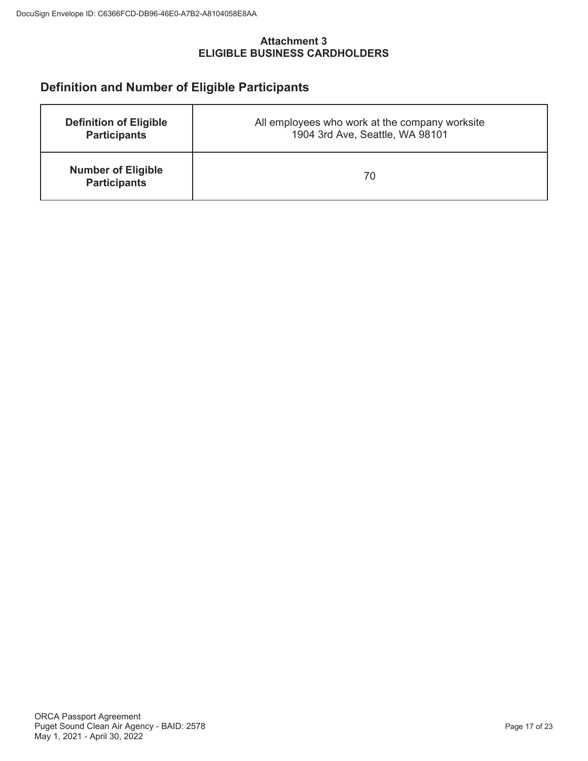## **Attachment 3 ELIGIBLE BUSINESS CARDHOLDERS**

# **Definition and Number of Eligible Participants**

| <b>Definition of Eligible</b>                    | All employees who work at the company worksite |
|--------------------------------------------------|------------------------------------------------|
| <b>Participants</b>                              | 1904 3rd Ave, Seattle, WA 98101                |
| <b>Number of Eligible</b><br><b>Participants</b> | 70                                             |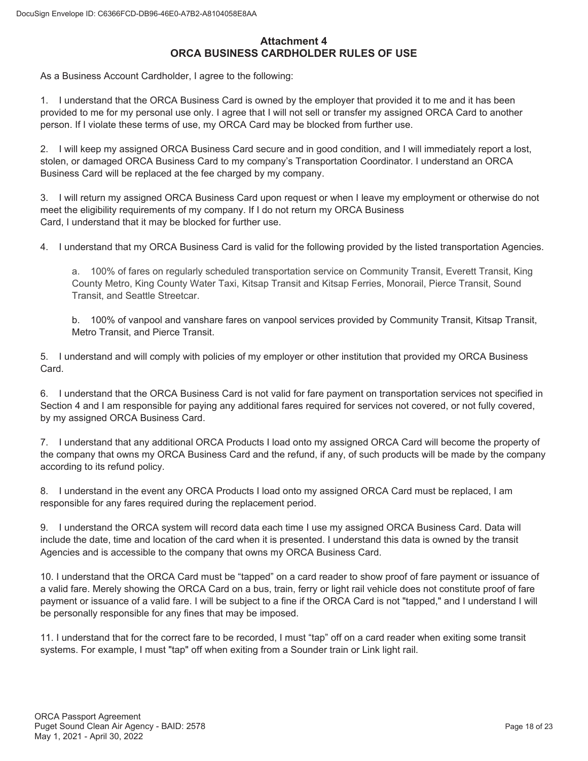## **Attachment 4 ORCA BUSINESS CARDHOLDER RULES OF USE**

As a Business Account Cardholder, I agree to the following:

1. I understand that the ORCA Business Card is owned by the employer that provided it to me and it has been provided to me for my personal use only. I agree that I will not sell or transfer my assigned ORCA Card to another person. If I violate these terms of use, my ORCA Card may be blocked from further use.

2. I will keep my assigned ORCA Business Card secure and in good condition, and I will immediately report a lost, stolen, or damaged ORCA Business Card to my company's Transportation Coordinator. I understand an ORCA Business Card will be replaced at the fee charged by my company.

3. I will return my assigned ORCA Business Card upon request or when I leave my employment or otherwise do not meet the eligibility requirements of my company. If I do not return my ORCA Business Card, I understand that it may be blocked for further use.

4. I understand that my ORCA Business Card is valid for the following provided by the listed transportation Agencies.

a. 100% of fares on regularly scheduled transportation service on Community Transit, Everett Transit, King County Metro, King County Water Taxi, Kitsap Transit and Kitsap Ferries, Monorail, Pierce Transit, Sound Transit, and Seattle Streetcar.

b. 100% of vanpool and vanshare fares on vanpool services provided by Community Transit, Kitsap Transit, Metro Transit, and Pierce Transit.

5. I understand and will comply with policies of my employer or other institution that provided my ORCA Business Card.

6. I understand that the ORCA Business Card is not valid for fare payment on transportation services not specified in Section 4 and I am responsible for paying any additional fares required for services not covered, or not fully covered, by my assigned ORCA Business Card.

7. I understand that any additional ORCA Products I load onto my assigned ORCA Card will become the property of the company that owns my ORCA Business Card and the refund, if any, of such products will be made by the company according to its refund policy.

8. I understand in the event any ORCA Products I load onto my assigned ORCA Card must be replaced, I am responsible for any fares required during the replacement period.

9. I understand the ORCA system will record data each time I use my assigned ORCA Business Card. Data will include the date, time and location of the card when it is presented. I understand this data is owned by the transit Agencies and is accessible to the company that owns my ORCA Business Card.

10. I understand that the ORCA Card must be "tapped" on a card reader to show proof of fare payment or issuance of a valid fare. Merely showing the ORCA Card on a bus, train, ferry or light rail vehicle does not constitute proof of fare payment or issuance of a valid fare. I will be subject to a fine if the ORCA Card is not "tapped," and I understand I will be personally responsible for any fines that may be imposed.

11. I understand that for the correct fare to be recorded, I must "tap" off on a card reader when exiting some transit systems. For example, I must "tap" off when exiting from a Sounder train or Link light rail.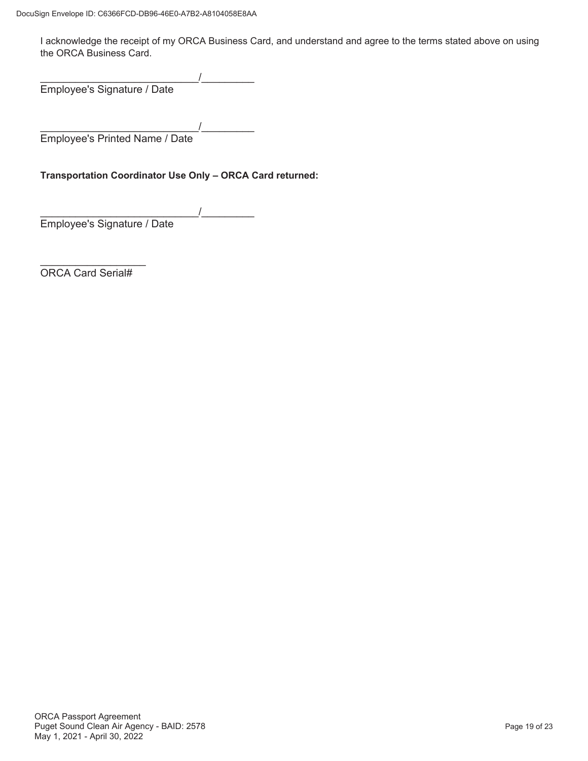I acknowledge the receipt of my ORCA Business Card, and understand and agree to the terms stated above on using the ORCA Business Card.

 $\overline{\phantom{a}}$ Employee's Signature / Date

 $\overline{\phantom{a}}$ Employee's Printed Name / Date

**Transportation Coordinator Use Only – ORCA Card returned:**

 $\overline{\phantom{a}}$ Employee's Signature / Date

 $\frac{1}{2}$  ,  $\frac{1}{2}$  ,  $\frac{1}{2}$  ,  $\frac{1}{2}$  ,  $\frac{1}{2}$  ,  $\frac{1}{2}$  ,  $\frac{1}{2}$  ,  $\frac{1}{2}$  ,  $\frac{1}{2}$  ,  $\frac{1}{2}$ ORCA Card Serial#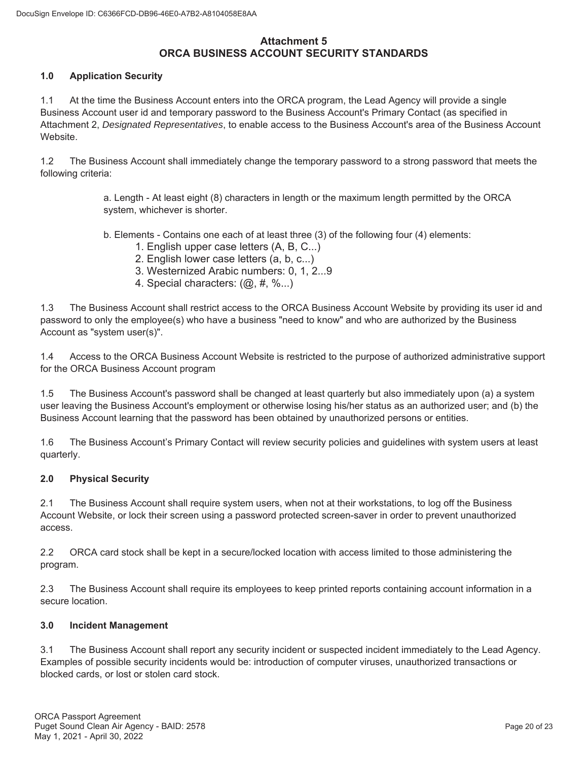## **Attachment 5 ORCA BUSINESS ACCOUNT SECURITY STANDARDS**

### **1.0 Application Security**

1.1 At the time the Business Account enters into the ORCA program, the Lead Agency will provide a single Business Account user id and temporary password to the Business Account's Primary Contact (as specified in Attachment 2, *Designated Representatives*, to enable access to the Business Account's area of the Business Account Website.

1.2 The Business Account shall immediately change the temporary password to a strong password that meets the following criteria:

> a. Length - At least eight (8) characters in length or the maximum length permitted by the ORCA system, whichever is shorter.

b. Elements - Contains one each of at least three (3) of the following four (4) elements:

- 1. English upper case letters (A, B, C...)
- 2. English lower case letters (a, b, c...)
- 3. Westernized Arabic numbers: 0, 1, 2...9
- 4. Special characters: (@, #, %...)

1.3 The Business Account shall restrict access to the ORCA Business Account Website by providing its user id and password to only the employee(s) who have a business "need to know" and who are authorized by the Business Account as "system user(s)".

1.4 Access to the ORCA Business Account Website is restricted to the purpose of authorized administrative support for the ORCA Business Account program

1.5 The Business Account's password shall be changed at least quarterly but also immediately upon (a) a system user leaving the Business Account's employment or otherwise losing his/her status as an authorized user; and (b) the Business Account learning that the password has been obtained by unauthorized persons or entities.

1.6 The Business Account's Primary Contact will review security policies and guidelines with system users at least quarterly.

### **2.0 Physical Security**

2.1 The Business Account shall require system users, when not at their workstations, to log off the Business Account Website, or lock their screen using a password protected screen-saver in order to prevent unauthorized access.

2.2 ORCA card stock shall be kept in a secure/locked location with access limited to those administering the program.

2.3 The Business Account shall require its employees to keep printed reports containing account information in a secure location.

### **3.0 Incident Management**

3.1 The Business Account shall report any security incident or suspected incident immediately to the Lead Agency. Examples of possible security incidents would be: introduction of computer viruses, unauthorized transactions or blocked cards, or lost or stolen card stock.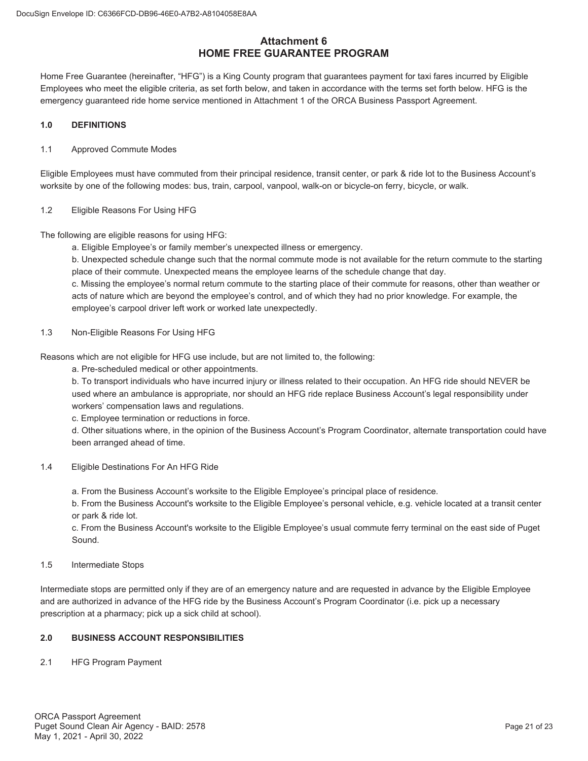## **Attachment 6 HOME FREE GUARANTEE PROGRAM**

Home Free Guarantee (hereinafter, "HFG") is a King County program that guarantees payment for taxi fares incurred by Eligible Employees who meet the eligible criteria, as set forth below, and taken in accordance with the terms set forth below. HFG is the emergency guaranteed ride home service mentioned in Attachment 1 of the ORCA Business Passport Agreement.

#### **1.0 DEFINITIONS**

#### 1.1 Approved Commute Modes

Eligible Employees must have commuted from their principal residence, transit center, or park & ride lot to the Business Account's worksite by one of the following modes: bus, train, carpool, vanpool, walk-on or bicycle-on ferry, bicycle, or walk.

#### 1.2 Eligible Reasons For Using HFG

The following are eligible reasons for using HFG:

a. Eligible Employee's or family member's unexpected illness or emergency.

b. Unexpected schedule change such that the normal commute mode is not available for the return commute to the starting place of their commute. Unexpected means the employee learns of the schedule change that day.

c. Missing the employee's normal return commute to the starting place of their commute for reasons, other than weather or acts of nature which are beyond the employee's control, and of which they had no prior knowledge. For example, the employee's carpool driver left work or worked late unexpectedly.

1.3 Non-Eligible Reasons For Using HFG

Reasons which are not eligible for HFG use include, but are not limited to, the following:

a. Pre-scheduled medical or other appointments.

b. To transport individuals who have incurred injury or illness related to their occupation. An HFG ride should NEVER be used where an ambulance is appropriate, nor should an HFG ride replace Business Account's legal responsibility under workers' compensation laws and regulations.

c. Employee termination or reductions in force.

d. Other situations where, in the opinion of the Business Account's Program Coordinator, alternate transportation could have been arranged ahead of time.

#### 1.4 Eligible Destinations For An HFG Ride

a. From the Business Account's worksite to the Eligible Employee's principal place of residence.

b. From the Business Account's worksite to the Eligible Employee's personal vehicle, e.g. vehicle located at a transit center or park & ride lot.

c. From the Business Account's worksite to the Eligible Employee's usual commute ferry terminal on the east side of Puget Sound.

#### 1.5 Intermediate Stops

Intermediate stops are permitted only if they are of an emergency nature and are requested in advance by the Eligible Employee and are authorized in advance of the HFG ride by the Business Account's Program Coordinator (i.e. pick up a necessary prescription at a pharmacy; pick up a sick child at school).

#### **2.0 BUSINESS ACCOUNT RESPONSIBILITIES**

2.1 HFG Program Payment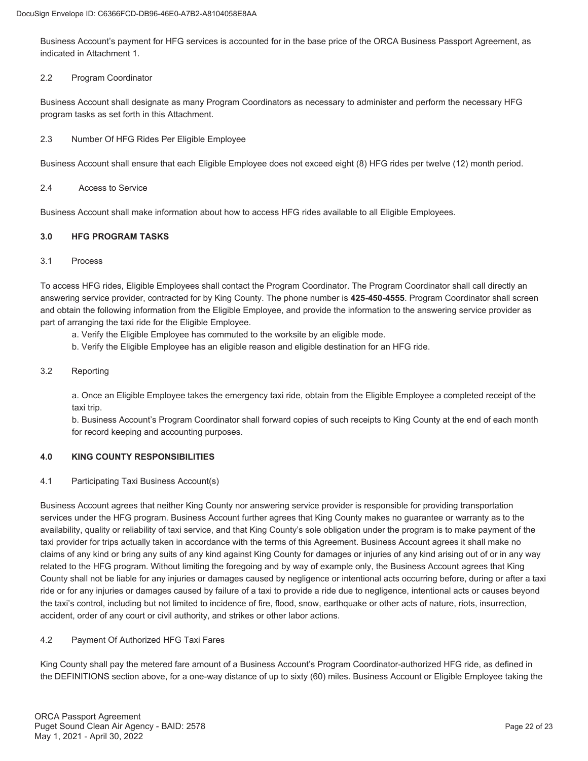Business Account's payment for HFG services is accounted for in the base price of the ORCA Business Passport Agreement, as indicated in Attachment 1.

#### 2.2 Program Coordinator

Business Account shall designate as many Program Coordinators as necessary to administer and perform the necessary HFG program tasks as set forth in this Attachment.

2.3 Number Of HFG Rides Per Eligible Employee

Business Account shall ensure that each Eligible Employee does not exceed eight (8) HFG rides per twelve (12) month period.

#### 2.4 Access to Service

Business Account shall make information about how to access HFG rides available to all Eligible Employees.

### **3.0 HFG PROGRAM TASKS**

#### 3.1 Process

To access HFG rides, Eligible Employees shall contact the Program Coordinator. The Program Coordinator shall call directly an answering service provider, contracted for by King County. The phone number is **425-450-4555**. Program Coordinator shall screen and obtain the following information from the Eligible Employee, and provide the information to the answering service provider as part of arranging the taxi ride for the Eligible Employee.

a. Verify the Eligible Employee has commuted to the worksite by an eligible mode.

b. Verify the Eligible Employee has an eligible reason and eligible destination for an HFG ride.

### 3.2 Reporting

a. Once an Eligible Employee takes the emergency taxi ride, obtain from the Eligible Employee a completed receipt of the taxi trip.

b. Business Account's Program Coordinator shall forward copies of such receipts to King County at the end of each month for record keeping and accounting purposes.

### **4.0 KING COUNTY RESPONSIBILITIES**

4.1 Participating Taxi Business Account(s)

Business Account agrees that neither King County nor answering service provider is responsible for providing transportation services under the HFG program. Business Account further agrees that King County makes no guarantee or warranty as to the availability, quality or reliability of taxi service, and that King County's sole obligation under the program is to make payment of the taxi provider for trips actually taken in accordance with the terms of this Agreement. Business Account agrees it shall make no claims of any kind or bring any suits of any kind against King County for damages or injuries of any kind arising out of or in any way related to the HFG program. Without limiting the foregoing and by way of example only, the Business Account agrees that King County shall not be liable for any injuries or damages caused by negligence or intentional acts occurring before, during or after a taxi ride or for any injuries or damages caused by failure of a taxi to provide a ride due to negligence, intentional acts or causes beyond the taxi's control, including but not limited to incidence of fire, flood, snow, earthquake or other acts of nature, riots, insurrection, accident, order of any court or civil authority, and strikes or other labor actions.

### 4.2 Payment Of Authorized HFG Taxi Fares

King County shall pay the metered fare amount of a Business Account's Program Coordinator-authorized HFG ride, as defined in the DEFINITIONS section above, for a one-way distance of up to sixty (60) miles. Business Account or Eligible Employee taking the